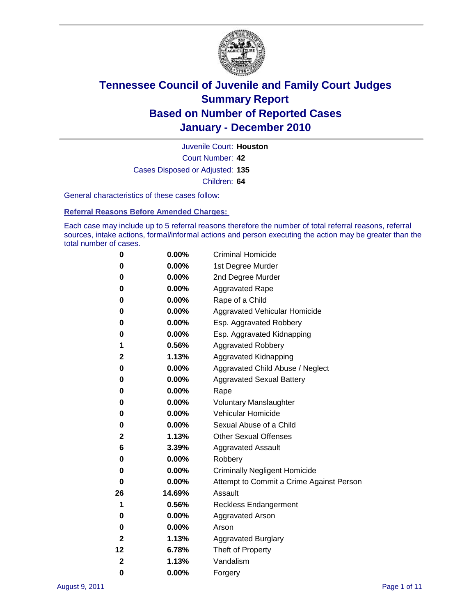

Court Number: **42** Juvenile Court: **Houston** Cases Disposed or Adjusted: **135** Children: **64**

General characteristics of these cases follow:

**Referral Reasons Before Amended Charges:** 

Each case may include up to 5 referral reasons therefore the number of total referral reasons, referral sources, intake actions, formal/informal actions and person executing the action may be greater than the total number of cases.

| 0  | 0.00%  | <b>Criminal Homicide</b>                 |  |  |
|----|--------|------------------------------------------|--|--|
| 0  | 0.00%  | 1st Degree Murder                        |  |  |
| 0  | 0.00%  | 2nd Degree Murder                        |  |  |
| 0  | 0.00%  | <b>Aggravated Rape</b>                   |  |  |
| 0  | 0.00%  | Rape of a Child                          |  |  |
| 0  | 0.00%  | Aggravated Vehicular Homicide            |  |  |
| 0  | 0.00%  | Esp. Aggravated Robbery                  |  |  |
| 0  | 0.00%  | Esp. Aggravated Kidnapping               |  |  |
| 1  | 0.56%  | <b>Aggravated Robbery</b>                |  |  |
| 2  | 1.13%  | Aggravated Kidnapping                    |  |  |
| 0  | 0.00%  | Aggravated Child Abuse / Neglect         |  |  |
| 0  | 0.00%  | <b>Aggravated Sexual Battery</b>         |  |  |
| 0  | 0.00%  | Rape                                     |  |  |
| 0  | 0.00%  | <b>Voluntary Manslaughter</b>            |  |  |
| 0  | 0.00%  | Vehicular Homicide                       |  |  |
| 0  | 0.00%  | Sexual Abuse of a Child                  |  |  |
| 2  | 1.13%  | <b>Other Sexual Offenses</b>             |  |  |
| 6  | 3.39%  | <b>Aggravated Assault</b>                |  |  |
| 0  | 0.00%  | Robbery                                  |  |  |
| 0  | 0.00%  | <b>Criminally Negligent Homicide</b>     |  |  |
| 0  | 0.00%  | Attempt to Commit a Crime Against Person |  |  |
| 26 | 14.69% | Assault                                  |  |  |
| 1  | 0.56%  | <b>Reckless Endangerment</b>             |  |  |
| 0  | 0.00%  | <b>Aggravated Arson</b>                  |  |  |
| 0  | 0.00%  | Arson                                    |  |  |
| 2  | 1.13%  | <b>Aggravated Burglary</b>               |  |  |
| 12 | 6.78%  | Theft of Property                        |  |  |
| 2  | 1.13%  | Vandalism                                |  |  |
| 0  | 0.00%  | Forgery                                  |  |  |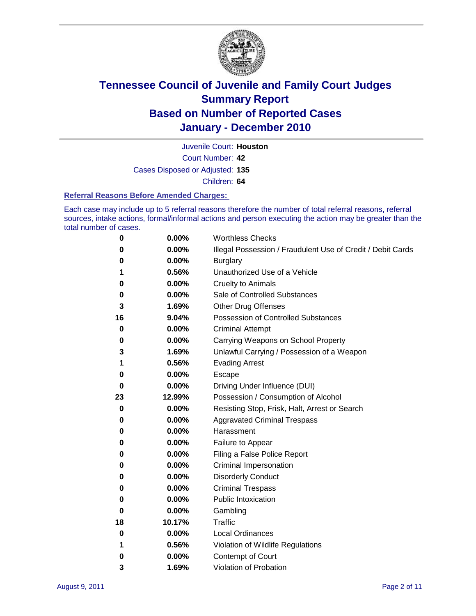

Juvenile Court: **Houston**

Court Number: **42**

Cases Disposed or Adjusted: **135**

Children: **64**

#### **Referral Reasons Before Amended Charges:**

Each case may include up to 5 referral reasons therefore the number of total referral reasons, referral sources, intake actions, formal/informal actions and person executing the action may be greater than the total number of cases.

| 0  | 0.00%    | <b>Worthless Checks</b>                                     |
|----|----------|-------------------------------------------------------------|
| 0  | 0.00%    | Illegal Possession / Fraudulent Use of Credit / Debit Cards |
| 0  | 0.00%    | <b>Burglary</b>                                             |
| 1  | 0.56%    | Unauthorized Use of a Vehicle                               |
| 0  | 0.00%    | <b>Cruelty to Animals</b>                                   |
| 0  | 0.00%    | Sale of Controlled Substances                               |
| 3  | 1.69%    | <b>Other Drug Offenses</b>                                  |
| 16 | 9.04%    | Possession of Controlled Substances                         |
| 0  | 0.00%    | <b>Criminal Attempt</b>                                     |
| 0  | 0.00%    | Carrying Weapons on School Property                         |
| 3  | 1.69%    | Unlawful Carrying / Possession of a Weapon                  |
| 1  | 0.56%    | <b>Evading Arrest</b>                                       |
| 0  | 0.00%    | Escape                                                      |
| 0  | 0.00%    | Driving Under Influence (DUI)                               |
| 23 | 12.99%   | Possession / Consumption of Alcohol                         |
| 0  | 0.00%    | Resisting Stop, Frisk, Halt, Arrest or Search               |
| 0  | 0.00%    | <b>Aggravated Criminal Trespass</b>                         |
| 0  | 0.00%    | Harassment                                                  |
| 0  | 0.00%    | Failure to Appear                                           |
| 0  | 0.00%    | Filing a False Police Report                                |
| 0  | 0.00%    | Criminal Impersonation                                      |
| 0  | 0.00%    | <b>Disorderly Conduct</b>                                   |
| 0  | 0.00%    | <b>Criminal Trespass</b>                                    |
| 0  | 0.00%    | <b>Public Intoxication</b>                                  |
| 0  | 0.00%    | Gambling                                                    |
| 18 | 10.17%   | Traffic                                                     |
| 0  | $0.00\%$ | <b>Local Ordinances</b>                                     |
| 1  | 0.56%    | Violation of Wildlife Regulations                           |
| 0  | 0.00%    | Contempt of Court                                           |
| 3  | 1.69%    | Violation of Probation                                      |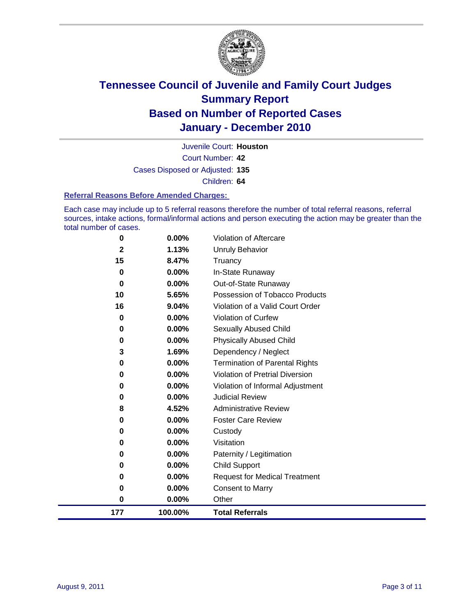

Court Number: **42** Juvenile Court: **Houston** Cases Disposed or Adjusted: **135** Children: **64**

**Referral Reasons Before Amended Charges:** 

Each case may include up to 5 referral reasons therefore the number of total referral reasons, referral sources, intake actions, formal/informal actions and person executing the action may be greater than the total number of cases.

| 0        | 0.00%    | Violation of Aftercare                 |
|----------|----------|----------------------------------------|
| 2        | 1.13%    | <b>Unruly Behavior</b>                 |
| 15       | 8.47%    | Truancy                                |
| 0        | 0.00%    | In-State Runaway                       |
| $\bf{0}$ | $0.00\%$ | Out-of-State Runaway                   |
| 10       | 5.65%    | Possession of Tobacco Products         |
| 16       | 9.04%    | Violation of a Valid Court Order       |
| $\bf{0}$ | 0.00%    | Violation of Curfew                    |
| 0        | $0.00\%$ | <b>Sexually Abused Child</b>           |
| 0        | 0.00%    | <b>Physically Abused Child</b>         |
| 3        | 1.69%    | Dependency / Neglect                   |
| 0        | 0.00%    | <b>Termination of Parental Rights</b>  |
| $\bf{0}$ | 0.00%    | <b>Violation of Pretrial Diversion</b> |
| 0        | 0.00%    | Violation of Informal Adjustment       |
| $\bf{0}$ | $0.00\%$ | <b>Judicial Review</b>                 |
| 8        | 4.52%    | <b>Administrative Review</b>           |
| 0        | 0.00%    | <b>Foster Care Review</b>              |
| 0        | $0.00\%$ | Custody                                |
| 0        | 0.00%    | Visitation                             |
| 0        | 0.00%    | Paternity / Legitimation               |
| 0        | 0.00%    | Child Support                          |
| 0        | 0.00%    | <b>Request for Medical Treatment</b>   |
| 0        | 0.00%    | <b>Consent to Marry</b>                |
| 0        | 0.00%    | Other                                  |
| 177      | 100.00%  | <b>Total Referrals</b>                 |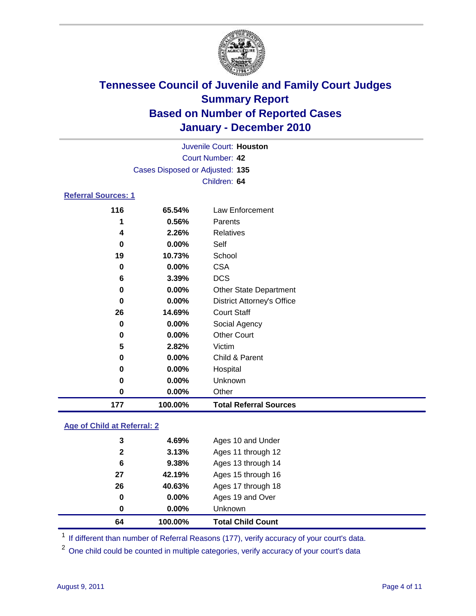

|                            |                                 | Juvenile Court: Houston           |  |  |  |
|----------------------------|---------------------------------|-----------------------------------|--|--|--|
|                            | Court Number: 42                |                                   |  |  |  |
|                            | Cases Disposed or Adjusted: 135 |                                   |  |  |  |
|                            |                                 | Children: 64                      |  |  |  |
| <b>Referral Sources: 1</b> |                                 |                                   |  |  |  |
| 116                        | 65.54%                          | Law Enforcement                   |  |  |  |
| 1                          | 0.56%                           | Parents                           |  |  |  |
| 4                          | 2.26%                           | <b>Relatives</b>                  |  |  |  |
| 0                          | $0.00\%$                        | Self                              |  |  |  |
| 19                         | 10.73%                          | School                            |  |  |  |
| 0                          | $0.00\%$                        | <b>CSA</b>                        |  |  |  |
| 6                          | 3.39%                           | <b>DCS</b>                        |  |  |  |
| 0                          | 0.00%                           | <b>Other State Department</b>     |  |  |  |
| 0                          | 0.00%                           | <b>District Attorney's Office</b> |  |  |  |
| 26                         | 14.69%                          | <b>Court Staff</b>                |  |  |  |
| 0                          | 0.00%                           | Social Agency                     |  |  |  |
| 0                          | 0.00%                           | <b>Other Court</b>                |  |  |  |
| 5                          | 2.82%                           | Victim                            |  |  |  |
| 0                          | 0.00%                           | Child & Parent                    |  |  |  |
| 0                          | 0.00%                           | Hospital                          |  |  |  |
| 0                          | $0.00\%$                        | Unknown                           |  |  |  |

#### **Age of Child at Referral: 2**

| 0<br>0 | 0.00%<br>0.00% | Ages 19 and Over<br><b>Unknown</b> |  |
|--------|----------------|------------------------------------|--|
|        |                |                                    |  |
|        |                |                                    |  |
| 26     | 40.63%         | Ages 17 through 18                 |  |
| 27     | 42.19%         | Ages 15 through 16                 |  |
| 6      | 9.38%          | Ages 13 through 14                 |  |
| 2      | 3.13%          | Ages 11 through 12                 |  |
| 3      | 4.69%          | Ages 10 and Under                  |  |
|        |                |                                    |  |

<sup>1</sup> If different than number of Referral Reasons (177), verify accuracy of your court's data.

**0.00%** Other

**100.00% Total Referral Sources**

<sup>2</sup> One child could be counted in multiple categories, verify accuracy of your court's data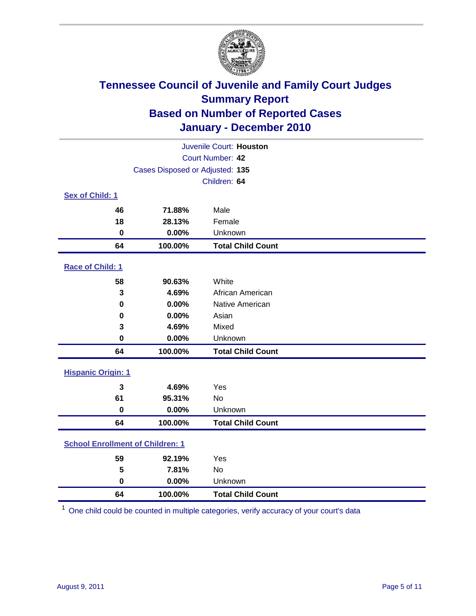

| Juvenile Court: Houston                 |                                 |                          |  |  |  |
|-----------------------------------------|---------------------------------|--------------------------|--|--|--|
| Court Number: 42                        |                                 |                          |  |  |  |
|                                         | Cases Disposed or Adjusted: 135 |                          |  |  |  |
|                                         |                                 | Children: 64             |  |  |  |
| Sex of Child: 1                         |                                 |                          |  |  |  |
| 46                                      | 71.88%                          | Male                     |  |  |  |
| 18                                      | 28.13%                          | Female                   |  |  |  |
| $\mathbf 0$                             | 0.00%                           | Unknown                  |  |  |  |
| 64                                      | 100.00%                         | <b>Total Child Count</b> |  |  |  |
| Race of Child: 1                        |                                 |                          |  |  |  |
| 58                                      | 90.63%                          | White                    |  |  |  |
| 3                                       | 4.69%                           | African American         |  |  |  |
| 0                                       | 0.00%                           | Native American          |  |  |  |
| $\mathbf 0$                             | 0.00%                           | Asian                    |  |  |  |
| 3                                       | 4.69%                           | Mixed                    |  |  |  |
| $\mathbf 0$                             | 0.00%                           | Unknown                  |  |  |  |
| 64                                      | 100.00%                         | <b>Total Child Count</b> |  |  |  |
| <b>Hispanic Origin: 1</b>               |                                 |                          |  |  |  |
| 3                                       | 4.69%                           | Yes                      |  |  |  |
| 61                                      | 95.31%                          | No                       |  |  |  |
| $\mathbf 0$                             | 0.00%                           | Unknown                  |  |  |  |
| 64                                      | 100.00%                         | <b>Total Child Count</b> |  |  |  |
| <b>School Enrollment of Children: 1</b> |                                 |                          |  |  |  |
| 59                                      | 92.19%                          | Yes                      |  |  |  |
| 5                                       | 7.81%                           | <b>No</b>                |  |  |  |
| $\mathbf 0$                             | 0.00%                           | Unknown                  |  |  |  |
| 64                                      | 100.00%                         | <b>Total Child Count</b> |  |  |  |

One child could be counted in multiple categories, verify accuracy of your court's data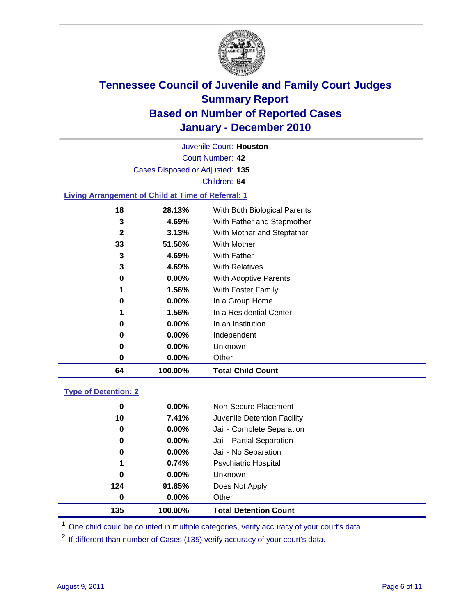

Court Number: **42** Juvenile Court: **Houston** Cases Disposed or Adjusted: **135** Children: **64 Living Arrangement of Child at Time of Referral: 1 28.13%** With Both Biological Parents **4.69%** With Father and Stepmother **3.13%** With Mother and Stepfather

| 64 | 100.00%  | <b>Total Child Count</b> |
|----|----------|--------------------------|
| 0  | 0.00%    | Other                    |
| 0  | $0.00\%$ | Unknown                  |
| 0  | 0.00%    | Independent              |
| 0  | $0.00\%$ | In an Institution        |
| 1  | 1.56%    | In a Residential Center  |
| 0  | $0.00\%$ | In a Group Home          |
| 1  | 1.56%    | With Foster Family       |
| 0  | $0.00\%$ | With Adoptive Parents    |
| 3  | 4.69%    | <b>With Relatives</b>    |
| 3  | 4.69%    | <b>With Father</b>       |
| 33 | 51.56%   | With Mother              |

#### **Type of Detention: 2**

| 135         | 100.00%  | <b>Total Detention Count</b> |  |
|-------------|----------|------------------------------|--|
| 0           | 0.00%    | Other                        |  |
| 124         | 91.85%   | Does Not Apply               |  |
| $\mathbf 0$ | $0.00\%$ | Unknown                      |  |
| 1           | 0.74%    | Psychiatric Hospital         |  |
| 0           | 0.00%    | Jail - No Separation         |  |
| 0           | $0.00\%$ | Jail - Partial Separation    |  |
| 0           | $0.00\%$ | Jail - Complete Separation   |  |
| 10          | 7.41%    | Juvenile Detention Facility  |  |
| 0           | $0.00\%$ | Non-Secure Placement         |  |
|             |          |                              |  |

<sup>1</sup> One child could be counted in multiple categories, verify accuracy of your court's data

<sup>2</sup> If different than number of Cases (135) verify accuracy of your court's data.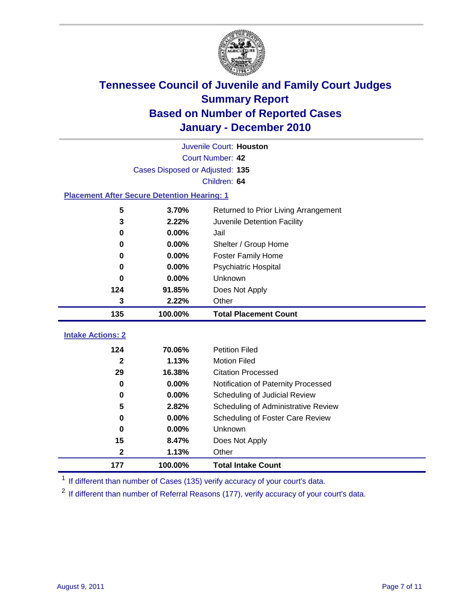

|                                                    | Juvenile Court: Houston         |                                      |  |  |  |
|----------------------------------------------------|---------------------------------|--------------------------------------|--|--|--|
|                                                    | Court Number: 42                |                                      |  |  |  |
|                                                    | Cases Disposed or Adjusted: 135 |                                      |  |  |  |
|                                                    |                                 | Children: 64                         |  |  |  |
| <b>Placement After Secure Detention Hearing: 1</b> |                                 |                                      |  |  |  |
| 5                                                  | 3.70%                           | Returned to Prior Living Arrangement |  |  |  |
| 3                                                  | 2.22%                           | Juvenile Detention Facility          |  |  |  |
| $\bf{0}$                                           | 0.00%                           | Jail                                 |  |  |  |
| 0                                                  | 0.00%                           | Shelter / Group Home                 |  |  |  |
| 0                                                  | 0.00%                           | <b>Foster Family Home</b>            |  |  |  |
| $\bf{0}$                                           | 0.00%                           | Psychiatric Hospital                 |  |  |  |
| 0                                                  | 0.00%                           | Unknown                              |  |  |  |
| 124                                                | 91.85%                          | Does Not Apply                       |  |  |  |
| 3                                                  | 2.22%                           | Other                                |  |  |  |
| 135                                                | 100.00%                         | <b>Total Placement Count</b>         |  |  |  |
| <b>Intake Actions: 2</b>                           |                                 |                                      |  |  |  |
| 124                                                | 70.06%                          | <b>Petition Filed</b>                |  |  |  |
| $\mathbf{2}$                                       | 1.13%                           | <b>Motion Filed</b>                  |  |  |  |
| 29                                                 | 16.38%                          | <b>Citation Processed</b>            |  |  |  |
| 0                                                  | 0.00%                           | Notification of Paternity Processed  |  |  |  |
| $\mathbf 0$                                        | 0.00%                           | Scheduling of Judicial Review        |  |  |  |
| 5                                                  | 2.82%                           | Scheduling of Administrative Review  |  |  |  |
| $\bf{0}$                                           | 0.00%                           | Scheduling of Foster Care Review     |  |  |  |
| $\bf{0}$                                           | 0.00%                           | Unknown                              |  |  |  |
| 15                                                 | 8.47%                           | Does Not Apply                       |  |  |  |
| $\mathbf{2}$                                       |                                 |                                      |  |  |  |
|                                                    | 1.13%                           | Other                                |  |  |  |

<sup>1</sup> If different than number of Cases (135) verify accuracy of your court's data.

<sup>2</sup> If different than number of Referral Reasons (177), verify accuracy of your court's data.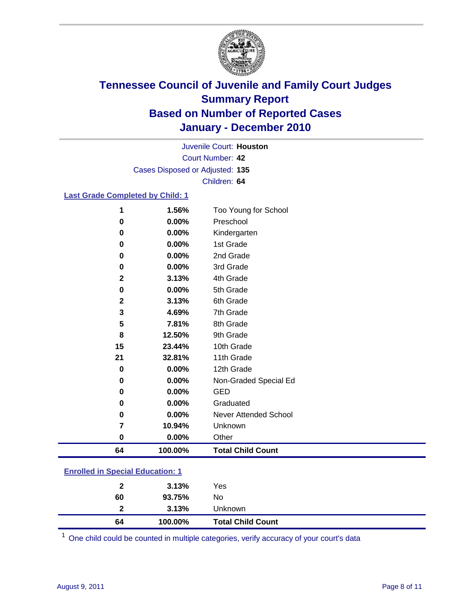

Court Number: **42** Juvenile Court: **Houston** Cases Disposed or Adjusted: **135** Children: **64**

#### **Last Grade Completed by Child: 1**

| 64          | 100.00%        | <b>Total Child Count</b>          |
|-------------|----------------|-----------------------------------|
| $\pmb{0}$   | 0.00%          | Other                             |
| 7           | 10.94%         | Unknown                           |
| 0           | 0.00%          | <b>Never Attended School</b>      |
| 0           | 0.00%          | Graduated                         |
| 0           | 0.00%          | <b>GED</b>                        |
| 0           | 0.00%          | Non-Graded Special Ed             |
| 0           | 0.00%          | 12th Grade                        |
| 21          | 32.81%         | 11th Grade                        |
| 15          | 23.44%         | 10th Grade                        |
| 8           | 12.50%         | 9th Grade                         |
| 5           | 7.81%          | 8th Grade                         |
| 3           | 4.69%          | 7th Grade                         |
| 2           | 3.13%          | 6th Grade                         |
| 0           | 0.00%          | 5th Grade                         |
| $\mathbf 2$ | 3.13%          | 4th Grade                         |
| 0           | 0.00%          | 3rd Grade                         |
| 0           | 0.00%          | 2nd Grade                         |
| 0           | 0.00%          | 1st Grade                         |
| 0           | 0.00%          | Kindergarten                      |
| 1<br>0      | 1.56%<br>0.00% | Too Young for School<br>Preschool |

#### **Enrolled in Special Education: 1**

| 64           | 100.00% | <b>Total Child Count</b> |  |
|--------------|---------|--------------------------|--|
| 2            | 3.13%   | Unknown                  |  |
| 60           | 93.75%  | No                       |  |
| $\mathbf{2}$ | 3.13%   | Yes                      |  |
|              |         |                          |  |

One child could be counted in multiple categories, verify accuracy of your court's data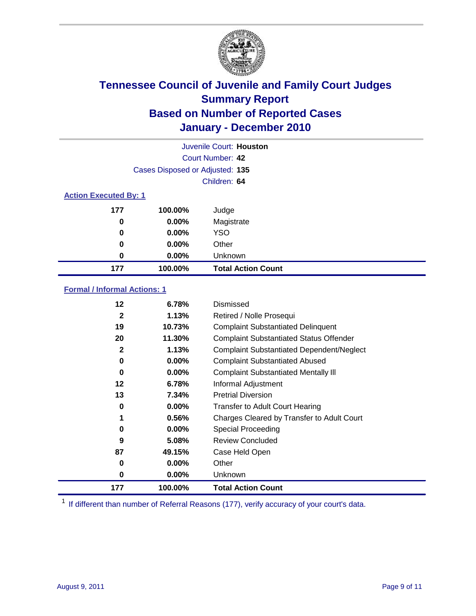

|                              | Juvenile Court: Houston         |                           |  |  |
|------------------------------|---------------------------------|---------------------------|--|--|
|                              | Court Number: 42                |                           |  |  |
|                              | Cases Disposed or Adjusted: 135 |                           |  |  |
|                              |                                 | Children: 64              |  |  |
| <b>Action Executed By: 1</b> |                                 |                           |  |  |
| 177                          | 100.00%                         | Judge                     |  |  |
| 0                            | 0.00%                           | Magistrate                |  |  |
| 0                            | 0.00%                           | <b>YSO</b>                |  |  |
| 0                            | $0.00\%$                        | Other                     |  |  |
| 0                            | 0.00%                           | Unknown                   |  |  |
| 177                          | 100.00%                         | <b>Total Action Count</b> |  |  |

#### **Formal / Informal Actions: 1**

| 12           | 6.78%    | Dismissed                                        |
|--------------|----------|--------------------------------------------------|
| $\mathbf{2}$ | 1.13%    | Retired / Nolle Prosequi                         |
| 19           | 10.73%   | <b>Complaint Substantiated Delinquent</b>        |
| 20           | 11.30%   | <b>Complaint Substantiated Status Offender</b>   |
| 2            | 1.13%    | <b>Complaint Substantiated Dependent/Neglect</b> |
| 0            | $0.00\%$ | <b>Complaint Substantiated Abused</b>            |
| 0            | $0.00\%$ | <b>Complaint Substantiated Mentally III</b>      |
| $12 \,$      | 6.78%    | Informal Adjustment                              |
| 13           | 7.34%    | <b>Pretrial Diversion</b>                        |
| 0            | $0.00\%$ | <b>Transfer to Adult Court Hearing</b>           |
| 1            | 0.56%    | Charges Cleared by Transfer to Adult Court       |
| 0            | $0.00\%$ | Special Proceeding                               |
| 9            | 5.08%    | <b>Review Concluded</b>                          |
| 87           | 49.15%   | Case Held Open                                   |
| 0            | $0.00\%$ | Other                                            |
| 0            | $0.00\%$ | Unknown                                          |
| 177          | 100.00%  | <b>Total Action Count</b>                        |

<sup>1</sup> If different than number of Referral Reasons (177), verify accuracy of your court's data.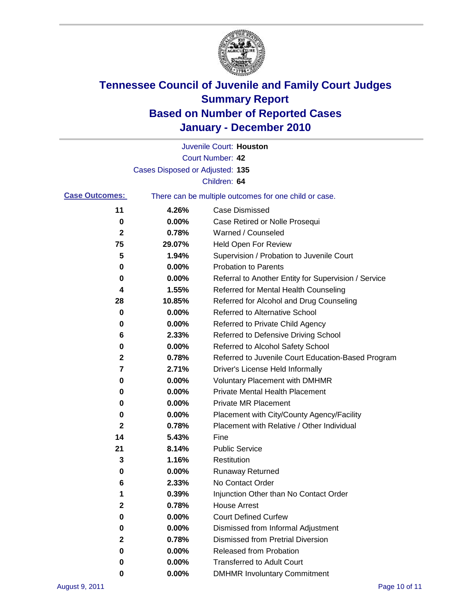

|                       |                                 | Juvenile Court: Houston                               |
|-----------------------|---------------------------------|-------------------------------------------------------|
|                       |                                 | Court Number: 42                                      |
|                       | Cases Disposed or Adjusted: 135 |                                                       |
|                       |                                 | Children: 64                                          |
| <b>Case Outcomes:</b> |                                 | There can be multiple outcomes for one child or case. |
| 11                    | 4.26%                           | <b>Case Dismissed</b>                                 |
| 0                     | $0.00\%$                        | Case Retired or Nolle Prosequi                        |
| 2                     | 0.78%                           | Warned / Counseled                                    |
| 75                    | 29.07%                          | Held Open For Review                                  |
| 5                     | 1.94%                           | Supervision / Probation to Juvenile Court             |
| 0                     | 0.00%                           | <b>Probation to Parents</b>                           |
| 0                     | 0.00%                           | Referral to Another Entity for Supervision / Service  |
| 4                     | 1.55%                           | Referred for Mental Health Counseling                 |
| 28                    | 10.85%                          | Referred for Alcohol and Drug Counseling              |
| 0                     | 0.00%                           | Referred to Alternative School                        |
| 0                     | 0.00%                           | Referred to Private Child Agency                      |
| 6                     | 2.33%                           | Referred to Defensive Driving School                  |
| 0                     | 0.00%                           | Referred to Alcohol Safety School                     |
| 2                     | 0.78%                           | Referred to Juvenile Court Education-Based Program    |
| 7                     | 2.71%                           | Driver's License Held Informally                      |
| 0                     | 0.00%                           | <b>Voluntary Placement with DMHMR</b>                 |
| 0                     | 0.00%                           | Private Mental Health Placement                       |
| 0                     | 0.00%                           | <b>Private MR Placement</b>                           |
| 0                     | 0.00%                           | Placement with City/County Agency/Facility            |
| 2                     | 0.78%                           | Placement with Relative / Other Individual            |
| 14                    | 5.43%                           | Fine                                                  |
| 21                    | 8.14%                           | <b>Public Service</b>                                 |
| 3                     | 1.16%                           | Restitution                                           |
| 0                     | 0.00%                           | <b>Runaway Returned</b>                               |
| 6                     | 2.33%                           | No Contact Order                                      |
| 1                     | 0.39%                           | Injunction Other than No Contact Order                |
| 2                     | 0.78%                           | <b>House Arrest</b>                                   |
| 0                     | 0.00%                           | <b>Court Defined Curfew</b>                           |
| 0                     | 0.00%                           | Dismissed from Informal Adjustment                    |
| 2                     | 0.78%                           | <b>Dismissed from Pretrial Diversion</b>              |
| 0                     | 0.00%                           | Released from Probation                               |
| 0                     | $0.00\%$                        | <b>Transferred to Adult Court</b>                     |
| 0                     | $0.00\%$                        | <b>DMHMR Involuntary Commitment</b>                   |